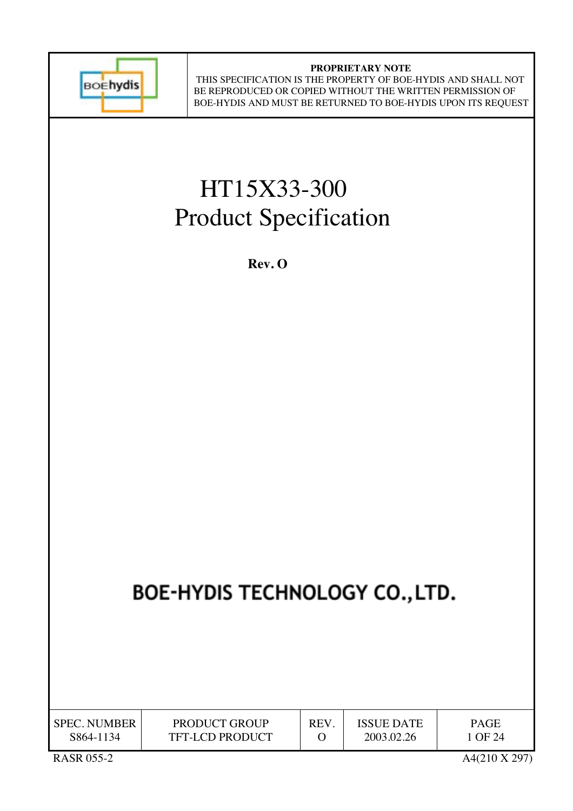

## **PROPRIETARY NOTE**

 THIS SPECIFICATION IS THE PROPERTY OF BOE-HYDIS AND SHALL NOT BE REPRODUCED OR COPIED WITHOUT THE WRITTEN PERMISSION OF BOE-HYDIS AND MUST BE RETURNED TO BOE-HYDIS UPON ITS REQUEST

# HT15X33-300 Product Specification

 **Rev. O**

## BOE-HYDIS TECHNOLOGY CO., LTD.

| <b>SPEC. NUMBER</b> | <b>PRODUCT GROUP</b>   | REV | <b>ISSUE DATE</b> | PAGE    |
|---------------------|------------------------|-----|-------------------|---------|
| S864-1134           | <b>TFT-LCD PRODUCT</b> |     | 2003.02.26        | 1 OF 24 |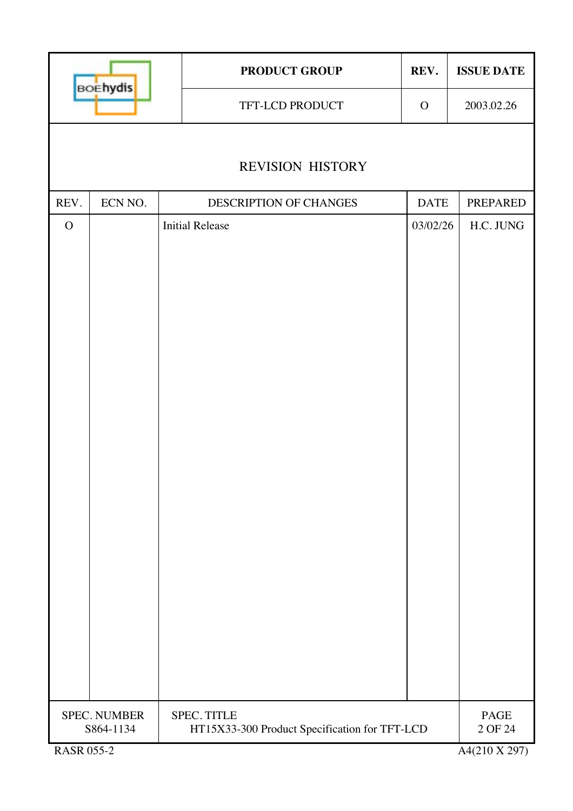| TFT-LCD PRODUCT<br>$\mathbf{O}$<br><b>REVISION HISTORY</b><br>ECN NO.<br>REV.<br><b>DATE</b><br>DESCRIPTION OF CHANGES<br><b>Initial Release</b><br>$\mathbf{O}$<br>03/02/26 | <b>BOEhydis</b> |  | <b>PRODUCT GROUP</b> | REV. | <b>ISSUE DATE</b>                       |
|------------------------------------------------------------------------------------------------------------------------------------------------------------------------------|-----------------|--|----------------------|------|-----------------------------------------|
|                                                                                                                                                                              |                 |  |                      |      | 2003.02.26                              |
|                                                                                                                                                                              |                 |  |                      |      |                                         |
|                                                                                                                                                                              |                 |  |                      |      |                                         |
|                                                                                                                                                                              |                 |  |                      |      | PREPARED                                |
|                                                                                                                                                                              |                 |  |                      |      | H.C. JUNG                               |
| <b>SPEC. NUMBER</b><br>SPEC. TITLE<br>HT15X33-300 Product Specification for TFT-LCD<br>S864-1134<br><b>RASR 055-2</b>                                                        |                 |  |                      |      | <b>PAGE</b><br>2 OF 24<br>A4(210 X 297) |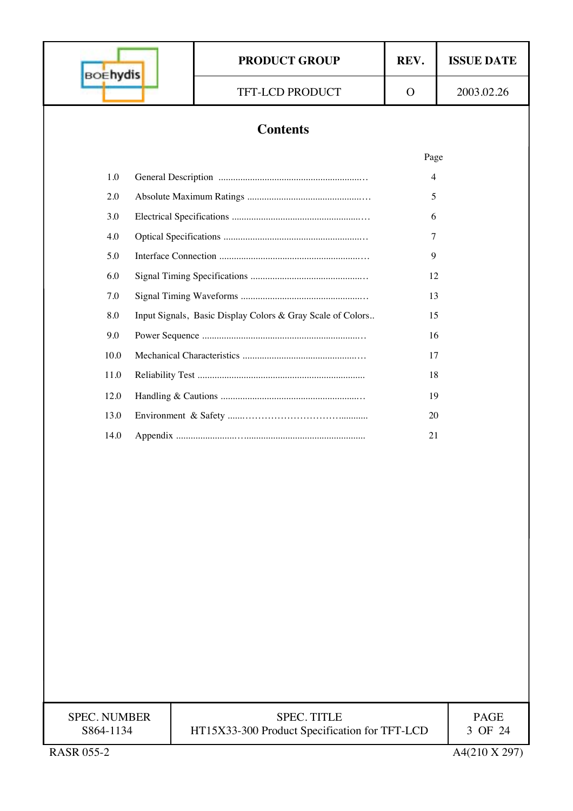| <b>BOEhydis</b>     |  | <b>PRODUCT GROUP</b>                                       | REV.         | <b>ISSUE DATE</b> |  |
|---------------------|--|------------------------------------------------------------|--------------|-------------------|--|
|                     |  | TFT-LCD PRODUCT                                            | $\mathbf{O}$ | 2003.02.26        |  |
|                     |  |                                                            |              |                   |  |
|                     |  | <b>Contents</b>                                            |              |                   |  |
|                     |  |                                                            | Page         |                   |  |
| 1.0                 |  |                                                            | 4            |                   |  |
| 2.0                 |  |                                                            | 5            |                   |  |
| 3.0                 |  |                                                            | 6            |                   |  |
| 4.0                 |  |                                                            | 7            |                   |  |
| 5.0                 |  |                                                            | 9            |                   |  |
| 6.0                 |  |                                                            | 12           |                   |  |
| 7.0<br>8.0          |  | Input Signals, Basic Display Colors & Gray Scale of Colors | 13<br>15     |                   |  |
| 9.0                 |  |                                                            | 16           |                   |  |
| 10.0                |  |                                                            | 17           |                   |  |
| 11.0                |  |                                                            | 18           |                   |  |
| 12.0                |  |                                                            | 19           |                   |  |
| 13.0                |  |                                                            | 20           |                   |  |
| 14.0                |  |                                                            | 21           |                   |  |
|                     |  |                                                            |              |                   |  |
|                     |  |                                                            |              |                   |  |
|                     |  |                                                            |              |                   |  |
|                     |  |                                                            |              |                   |  |
|                     |  |                                                            |              |                   |  |
|                     |  |                                                            |              |                   |  |
|                     |  |                                                            |              |                   |  |
|                     |  |                                                            |              |                   |  |
|                     |  |                                                            |              |                   |  |
|                     |  |                                                            |              |                   |  |
|                     |  |                                                            |              |                   |  |
|                     |  |                                                            |              |                   |  |
|                     |  |                                                            |              |                   |  |
| <b>SPEC. NUMBER</b> |  | <b>SPEC. TITLE</b>                                         |              | <b>PAGE</b>       |  |
| S864-1134           |  | HT15X33-300 Product Specification for TFT-LCD              |              | 3 OF 24           |  |
| <b>RASR 055-2</b>   |  |                                                            |              | A4(210 X 297)     |  |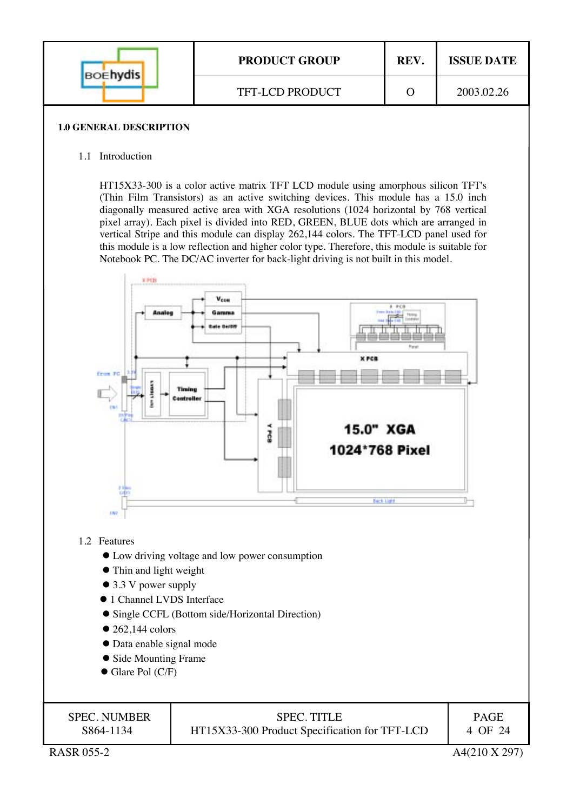| <b>BOEhydis</b> | <b>PRODUCT GROUP</b>   | <b>REV</b> | <b>ISSUE DATE</b> |
|-----------------|------------------------|------------|-------------------|
|                 | <b>TFT-LCD PRODUCT</b> |            | 2003.02.26        |

#### **1.0 GENERAL DESCRIPTION**

#### 1.1 Introduction

HT15X33-300 is a color active matrix TFT LCD module using amorphous silicon TFT's (Thin Film Transistors) as an active switching devices. This module has a 15.0 inch diagonally measured active area with XGA resolutions (1024 horizontal by 768 vertical pixel array). Each pixel is divided into RED, GREEN, BLUE dots which are arranged in vertical Stripe and this module can display 262,144 colors. The TFT-LCD panel used for this module is a low reflection and higher color type. Therefore, this module is suitable for Notebook PC. The DC/AC inverter for back-light driving is not built in this model.



#### 1.2 Features

- Low driving voltage and low power consumption
- Thin and light weight
- $\bullet$  3.3 V power supply
- 1 Channel LVDS Interface
- Single CCFL (Bottom side/Horizontal Direction)
- $\bullet$  262,144 colors
- Data enable signal mode
- Side Mounting Frame
- $\bullet$  Glare Pol (C/F)

| <b>SPEC. NUMBER</b> | <b>SPEC. TITLE</b>                            | <b>PAGE</b> |
|---------------------|-----------------------------------------------|-------------|
| S864-1134           | HT15X33-300 Product Specification for TFT-LCD | 4 OF 24     |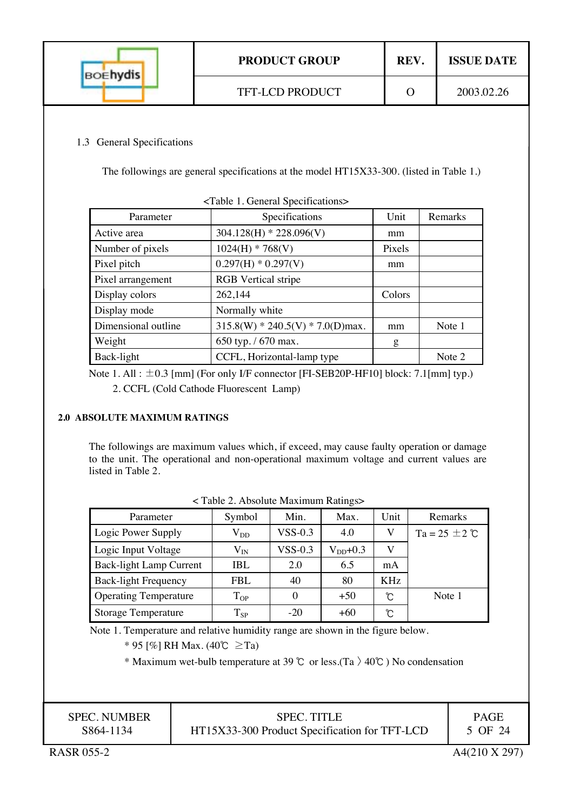| <b>BOEhydis</b> | <b>PRODUCT GROUP</b>   | <b>REV</b> | <b>ISSUE DATE</b> |
|-----------------|------------------------|------------|-------------------|
|                 | <b>TFT-LCD PRODUCT</b> |            | 2003.02.26        |

## 1.3 General Specifications

The followings are general specifications at the model HT15X33-300. (listed in Table 1.)

| $\sim$ Table 1. Octicial opeenications $\ge$ |                                     |        |         |  |
|----------------------------------------------|-------------------------------------|--------|---------|--|
| Parameter                                    | Specifications                      | Unit   | Remarks |  |
| Active area                                  | $304.128(H) * 228.096(V)$           | mm     |         |  |
| Number of pixels                             | $1024(H) * 768(V)$                  | Pixels |         |  |
| Pixel pitch                                  | $0.297(H) * 0.297(V)$               | mm     |         |  |
| Pixel arrangement                            | <b>RGB</b> Vertical stripe          |        |         |  |
| Display colors                               | 262,144                             | Colors |         |  |
| Display mode                                 | Normally white                      |        |         |  |
| Dimensional outline                          | $315.8(W) * 240.5(V) * 7.0(D)$ max. | mm     | Note 1  |  |
| Weight                                       | 650 typ. / 670 max.                 | g      |         |  |
| Back-light                                   | CCFL, Horizontal-lamp type          |        | Note 2  |  |

<Table 1. General Specifications>

Note 1. All :  $\pm 0.3$  [mm] (For only I/F connector [FI-SEB20P-HF10] block: 7.1[mm] typ.) 2. CCFL (Cold Cathode Fluorescent Lamp)

## **2.0 ABSOLUTE MAXIMUM RATINGS**

The followings are maximum values which, if exceed, may cause faulty operation or damage to the unit. The operational and non-operational maximum voltage and current values are listed in Table 2.

| Parameter                    | Symbol       | Min.           | Max.          | Unit       | Remarks            |
|------------------------------|--------------|----------------|---------------|------------|--------------------|
| Logic Power Supply           | $\rm V_{DD}$ | $VSS-0.3$      | 4.0           | V          | $Ta = 25 \pm 2$ °C |
| Logic Input Voltage          | $\rm V_{IN}$ | <b>VSS-0.3</b> | $V_{DD}$ +0.3 | V          |                    |
| Back-light Lamp Current      | IBL.         | 2.0            | 6.5           | mA         |                    |
| <b>Back-light Frequency</b>  | FBL.         | 40             | 80            | <b>KHz</b> |                    |
| <b>Operating Temperature</b> | $T_{OP}$     | $\Omega$       | $+50$         | ຽ          | Note 1             |
| <b>Storage Temperature</b>   | $T_{SP}$     | $-20$          | $+60$         | Ĉ          |                    |

| <table 2.="" absolute="" maximum="" ratings=""></table> |  |
|---------------------------------------------------------|--|
|---------------------------------------------------------|--|

Note 1. Temperature and relative humidity range are shown in the figure below.

\* 95 [%] RH Max. (40℃ ≥Ta)

\* Maximum wet-bulb temperature at 39 ℃ or less.(Ta  $\geq 40$ °C) No condensation

| <b>SPEC. NUMBER</b> | <b>SPEC. TITLE</b>                            | <b>PAGE</b> |
|---------------------|-----------------------------------------------|-------------|
| S864-1134           | HT15X33-300 Product Specification for TFT-LCD | 5 OF 24     |
|                     |                                               |             |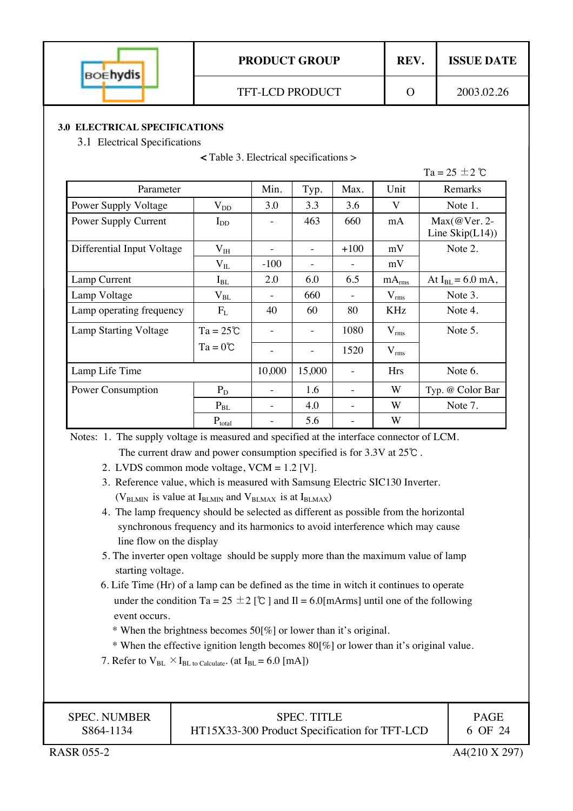

#### **3.0 ELECTRICAL SPECIFICATIONS**

3.1 Electrical Specifications

|  | ╮ |
|--|---|
|  |   |

|                            |                    |        |                          |        |                   | Ta = 25 $\pm$ 2 $\degree$                 |
|----------------------------|--------------------|--------|--------------------------|--------|-------------------|-------------------------------------------|
| Parameter                  |                    | Min.   | Typ.                     | Max.   | Unit              | Remarks                                   |
| Power Supply Voltage       | $\rm V_{DD}$       | 3.0    | 3.3                      | 3.6    | V                 | Note 1.                                   |
| Power Supply Current       | $I_{DD}$           |        | 463                      | 660    | mA                | $Max(@Ver. 2-$<br>Line $\text{Skip}(L14)$ |
| Differential Input Voltage | $V_{IH}$           |        | ÷                        | $+100$ | mV                | Note 2.                                   |
|                            | $\rm V_{II}$       | $-100$ |                          |        | mV                |                                           |
| Lamp Current               | $I_{BL}$           | 2.0    | 6.0                      | 6.5    | mA <sub>rms</sub> | At $I_{BL} = 6.0$ mA,                     |
| Lamp Voltage               | $\rm V_{BL}$       | $\sim$ | 660                      |        | $V_{rms}$         | Note 3.                                   |
| Lamp operating frequency   | $F_{L}$            | 40     | 60                       | 80     | <b>KHz</b>        | Note 4.                                   |
| Lamp Starting Voltage      | $Ta = 25^{\circ}C$ |        |                          | 1080   | $V_{rms}$         | Note 5.                                   |
|                            | $Ta = 0^{\circ}C$  |        | $\overline{\phantom{0}}$ | 1520   | $V_{rms}$         |                                           |
| Lamp Life Time             |                    | 10,000 | 15,000                   |        | <b>Hrs</b>        | Note 6.                                   |
| Power Consumption          | $P_D$              |        | 1.6                      |        | W                 | Typ. @ Color Bar                          |
|                            | $P_{BL}$           |        | 4.0                      |        | W                 | Note 7.                                   |
|                            | $P_{total}$        |        | 5.6                      |        | W                 |                                           |

 Notes: 1. The supply voltage is measured and specified at the interface connector of LCM. The current draw and power consumption specified is for 3.3V at 25℃ .

2. LVDS common mode voltage, VCM = 1.2 [V].

- 3. Reference value, which is measured with Samsung Electric SIC130 Inverter. ( $V_{BLMIN}$  is value at  $I_{BLMIN}$  and  $V_{BLMAX}$  is at  $I_{BLMAX}$ )
- 4. The lamp frequency should be selected as different as possible from the horizontal synchronous frequency and its harmonics to avoid interference which may cause line flow on the display
- 5. The inverter open voltage should be supply more than the maximum value of lamp starting voltage.
- 6. Life Time (Hr) of a lamp can be defined as the time in witch it continues to operate under the condition Ta = 25  $\pm$  2 [°C ] and II = 6.0[mArms] until one of the following event occurs.
	- \* When the brightness becomes 50[%] or lower than it's original.
	- \* When the effective ignition length becomes 80[%] or lower than it's original value.
- 7. Refer to  $V_{BL} \times I_{BL}$  to Calculate. (at  $I_{BL} = 6.0$  [mA])

| <b>SPEC. NUMBER</b> |
|---------------------|
| S864-1134           |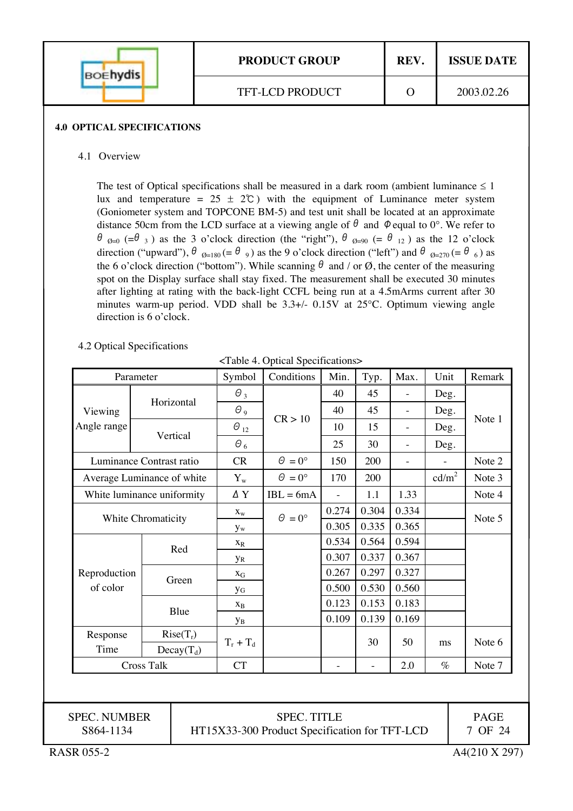| <b>BOEhydis</b> | <b>PRODUCT GROUP</b> | REV. | <b>ISSUE DATE</b> |
|-----------------|----------------------|------|-------------------|
|                 | TFT-LCD PRODUCT      |      | 2003.02.26        |

#### **4.0 OPTICAL SPECIFICATIONS**

#### 4.1 Overview

The test of Optical specifications shall be measured in a dark room (ambient luminance  $\leq 1$ ) lux and temperature =  $25 \pm 2^{\circ}$  with the equipment of Luminance meter system (Goniometer system and TOPCONE BM-5) and test unit shall be located at an approximate distance 50cm from the LCD surface at a viewing angle of  $\theta$  and  $\phi$  equal to 0°. We refer to  $\theta_{\Theta=0}$  (= $\theta_{3}$ ) as the 3 o'clock direction (the "right"),  $\theta_{\Theta=90}$  (=  $\theta_{12}$ ) as the 12 o'clock direction ("upward"),  $\theta_{\Theta=180} (= \theta_{9})$  as the 9 o'clock direction ("left") and  $\theta_{\Theta=270} (= \theta_{6})$  as the 6 o'clock direction ("bottom"). While scanning  $\theta$  and / or  $\emptyset$ , the center of the measuring spot on the Display surface shall stay fixed. The measurement shall be executed 30 minutes after lighting at rating with the back-light CCFL being run at a 4.5mArms current after 30 minutes warm-up period. VDD shall be  $3.3+/$ - 0.15V at  $25^{\circ}$ C. Optimum viewing angle direction is 6 o'clock.

#### 4.2 Optical Specifications

<Table 4. Optical Specifications>

| Parameter          |                            | Symbol                  | Conditions           | Min.                     | Typ.                | Max.                     | Unit                     | Remark |
|--------------------|----------------------------|-------------------------|----------------------|--------------------------|---------------------|--------------------------|--------------------------|--------|
|                    |                            | $\Theta_3$              | CR > 10              | 40                       | 45                  | $\overline{\phantom{0}}$ | Deg.                     |        |
| Viewing            | Horizontal                 | $\Theta$ <sub>9</sub>   |                      | 40                       | 45                  | $\overline{\phantom{0}}$ | Deg.                     |        |
| Angle range        |                            | $\Theta_{12}$           |                      | 10                       | 15                  | $\overline{\phantom{0}}$ | Deg.                     | Note 1 |
|                    | Vertical                   | $\theta_6$              |                      | 25                       | 30                  |                          | Deg.                     |        |
|                    | Luminance Contrast ratio   | <b>CR</b>               | $\Theta = 0^{\circ}$ | 150                      | 200                 | ÷,                       | $\overline{\phantom{a}}$ | Note 2 |
|                    | Average Luminance of white | $\mathbf{Y}_\mathrm{w}$ | $\theta = 0^{\circ}$ | 170                      | 200                 |                          | cd/m <sup>2</sup>        | Note 3 |
|                    | White luminance uniformity | ΔY                      | $IBL = 6mA$          | $\overline{\phantom{a}}$ | 1.1                 | 1.33                     |                          | Note 4 |
| White Chromaticity |                            | $X_{W}$                 | $\Theta = 0^{\circ}$ | 0.274                    | 0.304               | 0.334                    |                          | Note 5 |
|                    |                            | $y_w$                   |                      | 0.305                    | 0.335               | 0.365                    |                          |        |
|                    | Red                        | $X_R$                   |                      | 0.534                    | 0.564               | 0.594                    |                          |        |
|                    |                            | <b>y</b> <sub>R</sub>   |                      | 0.307                    | 0.337               | 0.367                    |                          |        |
| Reproduction       | Green                      | $X_G$                   |                      | 0.267                    | 0.297               | 0.327                    |                          |        |
| of color           |                            | УG                      |                      | 0.500                    | 0.530               | 0.560                    |                          |        |
|                    | Blue                       | $X_B$                   |                      | 0.123                    | 0.153               | 0.183                    |                          |        |
|                    |                            | Ув                      |                      | 0.109                    | 0.139               | 0.169                    |                          |        |
| Response           | $Rise(T_r)$                |                         |                      |                          | 30                  | 50                       |                          | Note 6 |
| Time               | $Decay(T_d)$               | $T_r + T_d$             |                      |                          |                     |                          | ms                       |        |
| <b>Cross Talk</b>  |                            | CT                      |                      |                          | $\bar{\phantom{a}}$ | 2.0                      | $\%$                     | Note 7 |

SPEC. TITLE HT15X33-300 Product Specification for TFT-LCD

SPEC. NUMBER S864-1134

PAGE 7 OF 24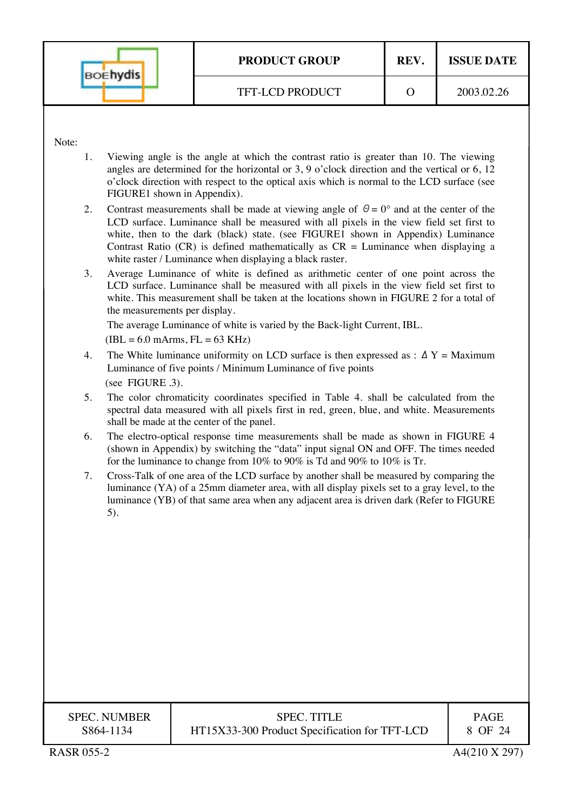|       | <b>BOEhydis</b>                           | <b>PRODUCT GROUP</b>                                                                                                                                                                                                                                                                                                                                                                                                                    | REV.     | <b>ISSUE DATE</b> |  |
|-------|-------------------------------------------|-----------------------------------------------------------------------------------------------------------------------------------------------------------------------------------------------------------------------------------------------------------------------------------------------------------------------------------------------------------------------------------------------------------------------------------------|----------|-------------------|--|
|       |                                           | TFT-LCD PRODUCT                                                                                                                                                                                                                                                                                                                                                                                                                         | $\Omega$ | 2003.02.26        |  |
|       |                                           |                                                                                                                                                                                                                                                                                                                                                                                                                                         |          |                   |  |
| Note: |                                           |                                                                                                                                                                                                                                                                                                                                                                                                                                         |          |                   |  |
| 1.    | FIGURE1 shown in Appendix).               | Viewing angle is the angle at which the contrast ratio is greater than 10. The viewing<br>angles are determined for the horizontal or 3, 9 o'clock direction and the vertical or 6, 12<br>o'clock direction with respect to the optical axis which is normal to the LCD surface (see                                                                                                                                                    |          |                   |  |
| 2.    |                                           | Contrast measurements shall be made at viewing angle of $\theta = 0^{\circ}$ and at the center of the<br>LCD surface. Luminance shall be measured with all pixels in the view field set first to<br>white, then to the dark (black) state. (see FIGURE1 shown in Appendix) Luminance<br>Contrast Ratio (CR) is defined mathematically as $CR =$ Luminance when displaying a<br>white raster / Luminance when displaying a black raster. |          |                   |  |
| 3.    | the measurements per display.             | Average Luminance of white is defined as arithmetic center of one point across the<br>LCD surface. Luminance shall be measured with all pixels in the view field set first to<br>white. This measurement shall be taken at the locations shown in FIGURE 2 for a total of<br>The average Luminance of white is varied by the Back-light Current, IBL.                                                                                   |          |                   |  |
|       | $(IBL = 6.0$ mArms, $FL = 63$ KHz)        |                                                                                                                                                                                                                                                                                                                                                                                                                                         |          |                   |  |
| 4.    | (see FIGURE .3).                          | The White luminance uniformity on LCD surface is then expressed as : $\Delta Y =$ Maximum<br>Luminance of five points / Minimum Luminance of five points                                                                                                                                                                                                                                                                                |          |                   |  |
| 5.    | shall be made at the center of the panel. | The color chromaticity coordinates specified in Table 4. shall be calculated from the<br>spectral data measured with all pixels first in red, green, blue, and white. Measurements                                                                                                                                                                                                                                                      |          |                   |  |
| 6.    |                                           | The electro-optical response time measurements shall be made as shown in FIGURE 4<br>(shown in Appendix) by switching the "data" input signal ON and OFF. The times needed<br>for the luminance to change from $10\%$ to $90\%$ is Td and $90\%$ to $10\%$ is Tr.                                                                                                                                                                       |          |                   |  |
| 7.    | 5).                                       | Cross-Talk of one area of the LCD surface by another shall be measured by comparing the<br>luminance (YA) of a 25mm diameter area, with all display pixels set to a gray level, to the<br>luminance (YB) of that same area when any adjacent area is driven dark (Refer to FIGURE                                                                                                                                                       |          |                   |  |
|       |                                           |                                                                                                                                                                                                                                                                                                                                                                                                                                         |          |                   |  |
|       |                                           |                                                                                                                                                                                                                                                                                                                                                                                                                                         |          |                   |  |
|       |                                           |                                                                                                                                                                                                                                                                                                                                                                                                                                         |          |                   |  |
|       |                                           |                                                                                                                                                                                                                                                                                                                                                                                                                                         |          |                   |  |
|       |                                           |                                                                                                                                                                                                                                                                                                                                                                                                                                         |          |                   |  |
|       |                                           |                                                                                                                                                                                                                                                                                                                                                                                                                                         |          |                   |  |
|       |                                           |                                                                                                                                                                                                                                                                                                                                                                                                                                         |          |                   |  |
|       |                                           |                                                                                                                                                                                                                                                                                                                                                                                                                                         |          |                   |  |

HT15X33-300 Product Specification for TFT-LCD

| S864-1134 |  |
|-----------|--|
|           |  |
|           |  |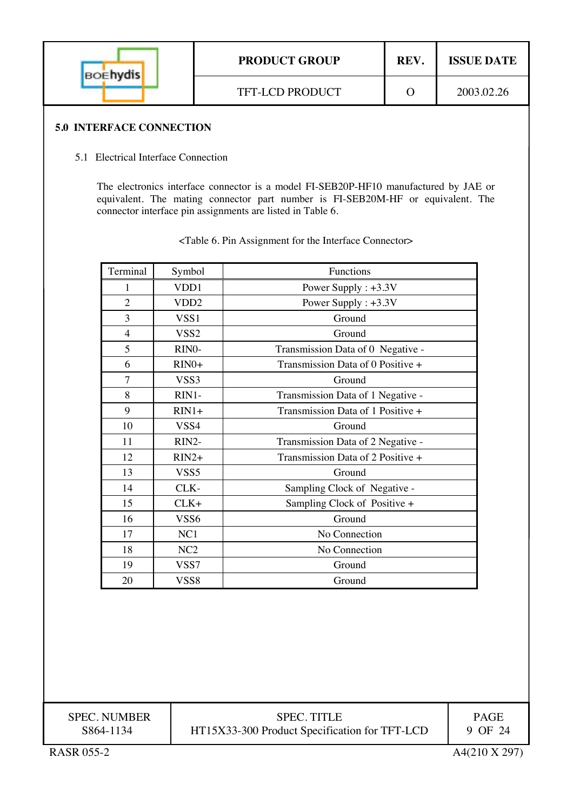| <b>BOEhydis</b> | <b>PRODUCT GROUP</b>   | REV. | <b>ISSUE DATE</b> |
|-----------------|------------------------|------|-------------------|
|                 | <b>TFT-LCD PRODUCT</b> |      | 2003.02.26        |

## **5.0 INTERFACE CONNECTION**

## 5.1 Electrical Interface Connection

The electronics interface connector is a model FI-SEB20P-HF10 manufactured by JAE or equivalent. The mating connector part number is FI-SEB20M-HF or equivalent. The connector interface pin assignments are listed in Table 6.

| Terminal       | Symbol           | Functions                         |  |  |
|----------------|------------------|-----------------------------------|--|--|
| 1              | VDD1             | Power Supply : +3.3V              |  |  |
| $\overline{2}$ | VDD <sub>2</sub> | Power Supply : +3.3V              |  |  |
| 3              | VSS <sub>1</sub> | Ground                            |  |  |
| $\overline{4}$ | VSS <sub>2</sub> | Ground                            |  |  |
| 5              | RINO-            | Transmission Data of 0 Negative - |  |  |
| 6              | $RIN0+$          | Transmission Data of 0 Positive + |  |  |
| 7              | VSS3             | Ground                            |  |  |
| 8              | RIN1-            | Transmission Data of 1 Negative - |  |  |
| 9              | $RIN1+$          | Transmission Data of 1 Positive + |  |  |
| 10             | VSS4             | Ground                            |  |  |
| 11             | RIN2-            | Transmission Data of 2 Negative - |  |  |
| 12             | $RIN2+$          | Transmission Data of 2 Positive + |  |  |
| 13             | VSS <sub>5</sub> | Ground                            |  |  |
| 14             | CLK-             | Sampling Clock of Negative -      |  |  |
| 15             | $CLK+$           | Sampling Clock of Positive +      |  |  |
| 16             | VSS6             | Ground                            |  |  |
| 17             | NC1              | No Connection                     |  |  |
| 18             | NC2              | No Connection                     |  |  |
| 19             | VSS7             | Ground                            |  |  |
| 20             | VSS <sub>8</sub> | Ground                            |  |  |

<Table 6. Pin Assignment for the Interface Connector>

| <b>SPEC. NUMBER</b> |
|---------------------|
| S864-1134           |

PAGE 9 OF 24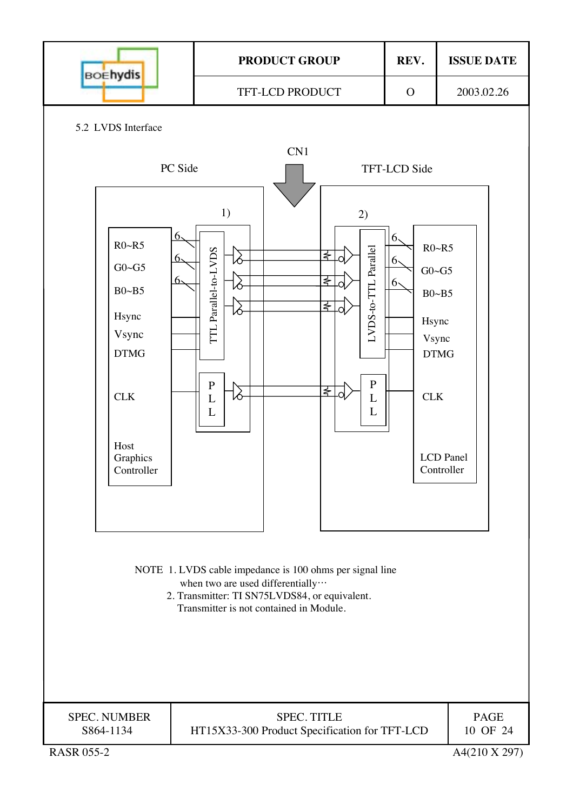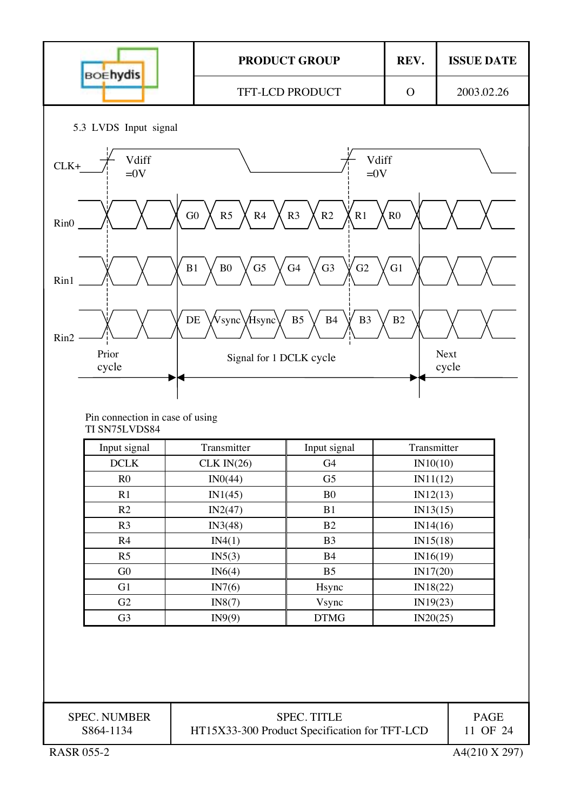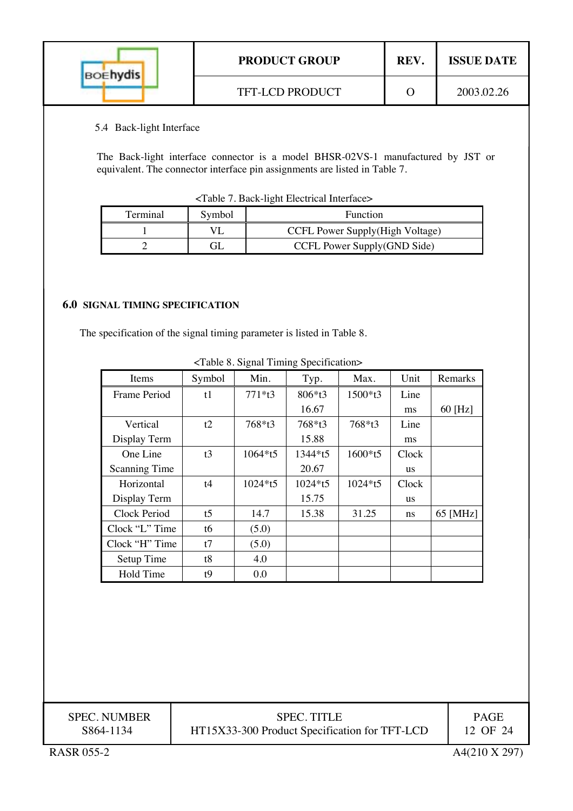| <b>BOEhydis</b> | <b>PRODUCT GROUP</b>   | <b>REV</b> | <b>ISSUE DATE</b> |
|-----------------|------------------------|------------|-------------------|
|                 | <b>TFT-LCD PRODUCT</b> |            | 2003.02.26        |

## 5.4 Back-light Interface

The Back-light interface connector is a model BHSR-02VS-1 manufactured by JST or equivalent. The connector interface pin assignments are listed in Table 7.

| Terminal | Symbol | <b>Function</b>                  |
|----------|--------|----------------------------------|
|          |        | CCFL Power Supply (High Voltage) |
|          |        | CCFL Power Supply(GND Side)      |

## **6.0 SIGNAL TIMING SPECIFICATION**

The specification of the signal timing parameter is listed in Table 8.

| Items                | Symbol          | Min.     | Typ.      | Max.      | Unit      | Remarks   |
|----------------------|-----------------|----------|-----------|-----------|-----------|-----------|
| Frame Period         | t1              | $771*13$ | 806*t3    | 1500*t3   | Line      |           |
|                      |                 |          | 16.67     |           | ms        | $60$ [Hz] |
| Vertical             | t2              | 768*t3   | 768*t3    | 768*t3    | Line      |           |
| Display Term         |                 |          | 15.88     |           | ms        |           |
| One Line             | t3              | 1064*t5  | 1344*t5   | 1600*t5   | Clock     |           |
| <b>Scanning Time</b> |                 |          | 20.67     |           | us        |           |
| Horizontal           | t4              | 1024*t5  | $1024*15$ | $1024*15$ | Clock     |           |
| Display Term         |                 |          | 15.75     |           | <b>us</b> |           |
| Clock Period         | $t\overline{5}$ | 14.7     | 15.38     | 31.25     | ns        | 65 [MHz]  |
| Clock "L" Time       | t6              | (5.0)    |           |           |           |           |
| Clock "H" Time       | t7              | (5.0)    |           |           |           |           |
| Setup Time           | t8              | 4.0      |           |           |           |           |
| Hold Time            | t9              | 0.0      |           |           |           |           |
|                      |                 |          |           |           |           |           |

<Table 8. Signal Timing Specification>

| <b>SPEC. NUMBER</b> | <b>SPEC. TITLE</b>                            | <b>PAGE</b> |
|---------------------|-----------------------------------------------|-------------|
| S864-1134           | HT15X33-300 Product Specification for TFT-LCD | 12 OF 24    |

I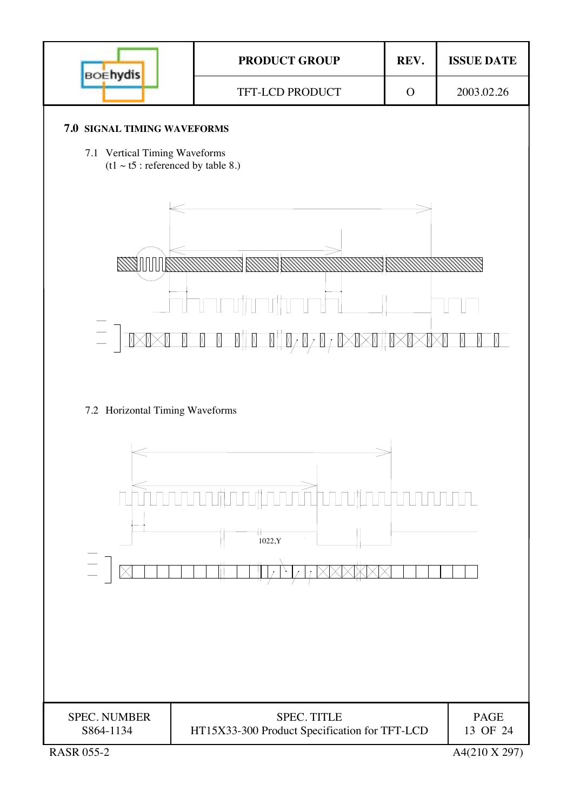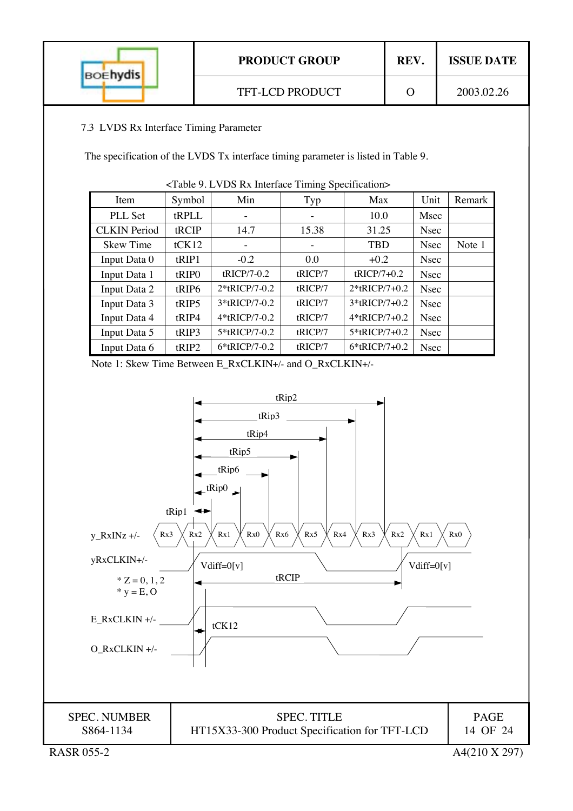| <b>BOEhydis</b> | <b>PRODUCT GROUP</b>   | REV. | <b>ISSUE DATE</b> |
|-----------------|------------------------|------|-------------------|
|                 | <b>TFT-LCD PRODUCT</b> |      | 2003.02.26        |

## 7.3 LVDS Rx Interface Timing Parameter

The specification of the LVDS Tx interface timing parameter is listed in Table 9.

| Item                | Symbol            | Min           | Typ     | Max              | Unit        | Remark |
|---------------------|-------------------|---------------|---------|------------------|-------------|--------|
| PLL Set             | tRPLL             |               |         | 10.0             | Msec        |        |
| <b>CLKIN</b> Period | tRCIP             | 14.7          | 15.38   | 31.25            | <b>Nsec</b> |        |
| <b>Skew Time</b>    | tCK12             |               | -       | <b>TBD</b>       | <b>Nsec</b> | Note 1 |
| Input Data 0        | tRIP1             | $-0.2$        | 0.0     | $+0.2$           | <b>Nsec</b> |        |
| Input Data 1        | tRIP <sub>0</sub> | tRICP/7-0.2   | tRICP/7 | $tRICP/7+0.2$    | <b>Nsec</b> |        |
| Input Data 2        | tRIP6             | 2*tRICP/7-0.2 | tRICP/7 | $2*$ tRICP/7+0.2 | <b>Nsec</b> |        |
| Input Data 3        | tRIP5             | 3*tRICP/7-0.2 | tRICP/7 | $3*$ tRICP/7+0.2 | <b>Nsec</b> |        |
| Input Data 4        | tRIP4             | 4*tRICP/7-0.2 | tRICP/7 | 4*tRICP/7+0.2    | <b>Nsec</b> |        |
| Input Data 5        | tRIP3             | 5*tRICP/7-0.2 | tRICP/7 | 5*tRICP/7+0.2    | <b>Nsec</b> |        |
| Input Data 6        | tRIP2             | 6*tRICP/7-0.2 | tRICP/7 | $6*$ tRICP/7+0.2 | <b>Nsec</b> |        |

<Table 9. LVDS Rx Interface Timing Specification>

Note 1: Skew Time Between E\_RxCLKIN+/- and O\_RxCLKIN+/-

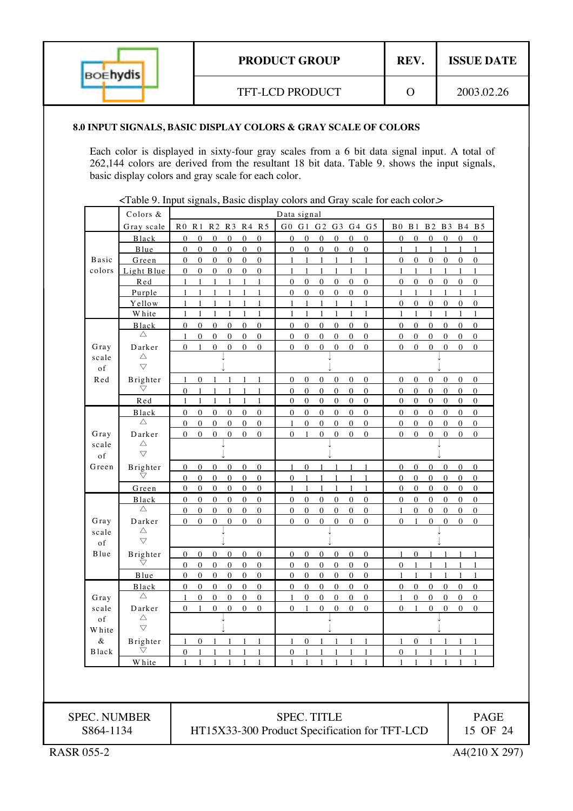| <b>BOEhydis</b> | <b>PRODUCT GROUP</b> | REV. | <b>ISSUE DATE</b> |
|-----------------|----------------------|------|-------------------|
|                 | TFT-LCD PRODUCT      |      | 2003.02.26        |

#### **8.0 INPUT SIGNALS, BASIC DISPLAY COLORS & GRAY SCALE OF COLORS**

Each color is displayed in sixty-four gray scales from a 6 bit data signal input. A total of 262,144 colors are derived from the resultant 18 bit data. Table 9. shows the input signals, basic display colors and gray scale for each color.

<Table 9. Input signals, Basic display colors and Gray scale for each color.>

|                     | Colors &                       |                                                                                                                  | Data signal                                                                                                          |                                                                              |                                      |
|---------------------|--------------------------------|------------------------------------------------------------------------------------------------------------------|----------------------------------------------------------------------------------------------------------------------|------------------------------------------------------------------------------|--------------------------------------|
|                     | Gray scale                     | RO R1 R2 R3 R4 R5                                                                                                | G0 G1 G2 G3 G4 G5                                                                                                    | B0 B1 B2 B3 B4 B5                                                            |                                      |
|                     | Black                          | $\overline{0}$<br>$\mathbf{0}$<br>$\mathbf{0}$<br>$\mathbf{0}$<br>$\mathbf{0}$<br>$\mathbf{0}$                   | $\mathbf{0}$<br>$\mathbf{0}$<br>$\mathbf{0}$<br>$\mathbf{0}$<br>$\mathbf{0}$<br>$\Omega$                             | $\overline{0}$<br>$\Omega$<br>$\mathbf{0}$<br>$\overline{0}$                 | $\overline{0}$<br>$\mathbf{0}$       |
|                     | Blue                           | $\overline{0}$<br>$\overline{0}$<br>$\overline{0}$<br>$\mathbf{0}$<br>$\mathbf{0}$<br>$\overline{0}$             | $\overline{0}$<br>$\overline{0}$<br>$\overline{0}$<br>$\mathbf{0}$<br>$\overline{0}$<br>$\mathbf{0}$                 | $\mathbf{1}$<br>$\overline{1}$<br>$\mathbf{1}$<br>$\mathbf{1}$               | $\mathbf{1}$<br>$\mathbf{1}$         |
| <b>Basic</b>        | Green                          | $\mathbf{0}$<br>$\mathbf{0}$<br>$\mathbf{0}$<br>$\mathbf{0}$<br>$\mathbf{0}$<br>$\mathbf{0}$                     | $\mathbf{1}$<br>$\mathbf{1}$<br>$\mathbf{1}$<br>$\mathbf{1}$<br>-1<br>$\mathbf{1}$                                   | $\overline{0}$<br>$\mathbf{0}$<br>$\mathbf{0}$<br>$\mathbf{0}$               | $\mathbf{0}$<br>$\mathbf{0}$         |
| colors              | Light Blue                     | $\mathbf{0}$<br>$\boldsymbol{0}$<br>$\boldsymbol{0}$<br>$\mathbf{0}$<br>$\mathbf{0}$<br>$\mathbf{0}$             | $\mathbf{1}$<br>$\mathbf{1}$<br>$\mathbf{1}$<br>$\mathbf{1}$<br>$\mathbf{1}$<br>1                                    | $\mathbf{1}$<br>$\mathbf{1}$<br>$\mathbf{1}$<br>$\mathbf{1}$                 | $\mathbf{1}$<br>$\mathbf{1}$         |
|                     | Red                            | $\mathbf{1}$<br>$\mathbf{1}$<br>$\mathbf{1}$<br>$\mathbf{1}$<br>$\mathbf{1}$<br>$\mathbf{1}$                     | $\overline{0}$<br>$\overline{0}$<br>$\mathbf{0}$<br>$\mathbf{0}$<br>$\mathbf{0}$<br>$\mathbf{0}$                     | $\mathbf{0}$<br>$\mathbf{0}$<br>$\overline{0}$<br>$\overline{0}$             | $\mathbf{0}$<br>$\mathbf{0}$         |
|                     | Purple                         | $\mathbf{1}$<br>$\mathbf{1}$<br>$\mathbf{1}$<br>$\mathbf{1}$<br>$\mathbf{1}$<br>1                                | $\overline{0}$<br>$\overline{0}$<br>$\mathbf{0}$<br>$\overline{0}$<br>$\mathbf{0}$<br>$\mathbf{0}$                   | $\mathbf{1}$<br>$\mathbf{1}$<br>$\mathbf{1}$<br>$\mathbf{1}$                 | $\mathbf{1}$<br>$\mathbf{1}$         |
|                     | Yellow                         | 1<br>1<br>$\mathbf{1}$<br>1<br>1                                                                                 | 1<br>1<br>$\mathbf{1}$<br>$\mathbf{1}$<br>$\mathbf{1}$<br>$\mathbf{1}$                                               | $\mathbf{0}$<br>$\mathbf{0}$<br>0<br>$\boldsymbol{0}$                        | $\mathbf{0}$<br>$\boldsymbol{0}$     |
|                     | <b>White</b>                   | 1<br>1                                                                                                           | 1<br>1<br>1<br>1<br>1                                                                                                | $\mathbf{1}$<br>$\mathbf{1}$<br>$\mathbf{1}$<br>1                            | 1<br>1                               |
|                     | <b>Black</b>                   | $\boldsymbol{0}$<br>$\boldsymbol{0}$<br>$\mathbf{0}$<br>$\boldsymbol{0}$<br>$\mathbf{0}$<br>$\overline{0}$       | $\mathbf{0}$<br>$\mathbf{0}$<br>$\mathbf{0}$<br>$\mathbf{0}$<br>$\mathbf{0}$<br>$\boldsymbol{0}$                     | $\boldsymbol{0}$<br>$\mathbf{0}$<br>$\overline{0}$<br>$\overline{0}$         | $\mathbf{0}$<br>$\mathbf{0}$         |
|                     | $\triangle$                    | $\overline{0}$<br>$\mathbf{0}$<br>$\overline{0}$<br>$\mathbf{0}$<br>$\overline{0}$<br>$\mathbf{1}$               | $\overline{0}$<br>$\mathbf{0}$<br>$\mathbf{0}$<br>$\overline{0}$<br>$\mathbf{0}$<br>$\mathbf{0}$                     | $\mathbf{0}$<br>$\overline{0}$<br>$\mathbf{0}$<br>$\mathbf{0}$               | $\mathbf{0}$<br>$\overline{0}$       |
| Gray                | Darker                         | $\overline{0}$<br>$\mathbf{0}$<br>$\Omega$<br>$\overline{0}$<br>$\mathbf{0}$<br>$\mathbf{1}$                     | $\mathbf{0}$<br>$\mathbf{0}$<br>$\theta$<br>$\overline{0}$<br>$\mathbf{0}$<br>$\overline{0}$                         | $\mathbf{0}$<br>$\theta$<br>$\overline{0}$<br>$\mathbf{0}$                   | $\overline{0}$<br>$\mathbf{0}$       |
| scale               | $\triangle$<br>$\triangledown$ |                                                                                                                  |                                                                                                                      |                                                                              |                                      |
| of<br>Red           | Brighter                       | $\overline{0}$<br>$\mathbf{1}$<br>1<br>$\mathbf{1}$<br>1<br>1                                                    | $\overline{0}$<br>$\mathbf{0}$<br>$\overline{0}$<br>$\overline{0}$<br>$\boldsymbol{0}$<br>$\overline{0}$             | $\overline{0}$<br>$\overline{0}$<br>$\boldsymbol{0}$<br>$\overline{0}$       | $\boldsymbol{0}$<br>$\boldsymbol{0}$ |
|                     | $\bigtriangledown$             | $\mathbf{0}$<br>$\mathbf{1}$<br>$\mathbf{1}$<br>1<br>$\mathbf{1}$<br>1                                           | $\overline{0}$<br>$\mathbf{0}$<br>$\mathbf{0}$<br>$\overline{0}$<br>$\mathbf{0}$<br>$\boldsymbol{0}$                 | $\overline{0}$<br>$\mathbf{0}$<br>$\mathbf{0}$<br>$\mathbf{0}$               | $\overline{0}$<br>$\overline{0}$     |
|                     | Red                            | 1<br>1<br>1<br>1                                                                                                 | $\boldsymbol{0}$<br>$\boldsymbol{0}$<br>$\boldsymbol{0}$<br>$\boldsymbol{0}$<br>$\boldsymbol{0}$<br>$\boldsymbol{0}$ | $\boldsymbol{0}$<br>$\boldsymbol{0}$<br>$\boldsymbol{0}$<br>$\boldsymbol{0}$ | $\boldsymbol{0}$<br>0                |
|                     | <b>Black</b>                   | $\mathbf{0}$<br>$\boldsymbol{0}$<br>$\mathbf{0}$<br>$\boldsymbol{0}$<br>$\mathbf{0}$<br>$\overline{0}$           | $\boldsymbol{0}$<br>$\mathbf{0}$<br>$\mathbf{0}$<br>$\boldsymbol{0}$<br>$\mathbf{0}$<br>$\boldsymbol{0}$             | $\mathbf{0}$<br>$\overline{0}$<br>$\boldsymbol{0}$<br>$\mathbf{0}$           | $\mathbf{0}$<br>$\boldsymbol{0}$     |
|                     | $\triangle$                    | $\mathbf{0}$<br>$\mathbf{0}$<br>$\mathbf{0}$<br>$\mathbf{0}$<br>$\mathbf{0}$<br>$\mathbf{0}$                     | $\Omega$<br>$\mathbf{0}$<br>$\mathbf{0}$<br>$\Omega$<br>$\mathbf{0}$<br>1                                            | $\mathbf{0}$<br>$\mathbf{0}$<br>$\mathbf{0}$<br>$\Omega$                     | $\mathbf{0}$<br>$\mathbf{0}$         |
| Gray                | Darker                         | $\Omega$<br>$\overline{0}$<br>$\theta$<br>$\mathbf{0}$<br>$\Omega$<br>$\overline{0}$                             | $\Omega$<br>$\theta$<br>$\Omega$<br>$\Omega$<br>$\overline{0}$<br>$\mathbf{1}$                                       | $\overline{0}$<br>$\overline{0}$<br>$\theta$<br>$\theta$                     | $\mathbf{0}$<br>$\theta$             |
| scale               | $\triangle$                    |                                                                                                                  |                                                                                                                      |                                                                              |                                      |
| of                  | $\bigtriangledown$             |                                                                                                                  |                                                                                                                      |                                                                              |                                      |
| Green               | Brighter                       | $\overline{0}$<br>$\mathbf{0}$<br>$\mathbf{0}$<br>$\mathbf{0}$<br>$\overline{0}$<br>$\overline{0}$               | $\mathbf{0}$<br>$\mathbf{1}$<br>-1<br>1<br>$\mathbf{1}$<br>1                                                         | $\mathbf{0}$<br>$\mathbf{0}$<br>$\mathbf{0}$<br>$\mathbf{0}$                 | $\mathbf{0}$<br>$\mathbf{0}$         |
|                     | $\bigtriangledown$             | $\mathbf{0}$<br>$\mathbf{0}$<br>$\mathbf{0}$<br>$\mathbf{0}$<br>$\mathbf{0}$<br>$\boldsymbol{0}$                 | $\mathbf{0}$<br>$\mathbf{1}$<br>$\mathbf{1}$<br>1<br>1<br>$\mathbf{1}$                                               | $\mathbf{0}$<br>$\overline{0}$<br>$\mathbf{0}$<br>$\mathbf{0}$               | $\mathbf{0}$<br>$\overline{0}$       |
|                     | Green                          | $\boldsymbol{0}$<br>$\boldsymbol{0}$<br>$\boldsymbol{0}$<br>$\bf{0}$<br>$\bf{0}$<br>$\boldsymbol{0}$             | 1<br>$\mathbf{1}$<br>$\mathbf{1}$<br>$\mathbf{1}$<br>$\mathbf{1}$<br>1                                               | $\boldsymbol{0}$<br>$\boldsymbol{0}$<br>$\bf{0}$<br>$\boldsymbol{0}$         | $\boldsymbol{0}$<br>$\boldsymbol{0}$ |
|                     | <b>Black</b>                   | $\mathbf{0}$<br>$\boldsymbol{0}$<br>$\boldsymbol{0}$<br>$\boldsymbol{0}$<br>$\boldsymbol{0}$<br>$\boldsymbol{0}$ | $\mathbf{0}$<br>$\mathbf{0}$<br>$\mathbf{0}$<br>$\mathbf{0}$<br>$\boldsymbol{0}$<br>$\overline{0}$                   | $\boldsymbol{0}$<br>$\boldsymbol{0}$<br>$\bf{0}$<br>$\bf{0}$                 | $\mathbf{0}$<br>$\boldsymbol{0}$     |
|                     | $\triangle$                    | $\mathbf{0}$<br>$\boldsymbol{0}$<br>$\mathbf{0}$<br>$\mathbf{0}$<br>$\mathbf{0}$<br>$\overline{0}$               | $\overline{0}$<br>$\mathbf{0}$<br>$\boldsymbol{0}$<br>$\mathbf{0}$<br>$\mathbf{0}$<br>$\mathbf{0}$                   | $\mathbf{0}$<br>$\mathbf{0}$<br>$\mathbf{0}$<br>1                            | $\mathbf{0}$<br>$\mathbf{0}$         |
| Gray                | Darker<br>Δ                    | $\Omega$<br>$\mathbf{0}$<br>$\mathbf{0}$<br>$\mathbf{0}$<br>$\Omega$<br>$\overline{0}$                           | $\mathbf{0}$<br>$\mathbf{0}$<br>$\mathbf{0}$<br>$\Omega$<br>$\theta$<br>$\overline{0}$                               | $\mathbf{0}$<br>$\Omega$<br>$\mathbf{0}$<br>1                                | $\mathbf{0}$<br>$\mathbf{0}$         |
| scale<br>of         | $\bigtriangledown$             |                                                                                                                  |                                                                                                                      |                                                                              |                                      |
| Blue                | Brighter                       | $\overline{0}$<br>$\mathbf{0}$<br>$\overline{0}$<br>$\overline{0}$<br>$\overline{0}$<br>$\Omega$                 | $\overline{0}$<br>$\mathbf{0}$<br>$\overline{0}$<br>$\mathbf{0}$<br>$\mathbf{0}$<br>$\mathbf{0}$                     | $\mathbf{1}$<br>$\overline{0}$<br>$\overline{1}$<br>$\overline{1}$           | $\mathbf{1}$<br>$\mathbf{1}$         |
|                     | $\bigtriangledown$             | $\mathbf{0}$<br>$\mathbf{0}$<br>$\overline{0}$<br>$\mathbf{0}$<br>$\overline{0}$<br>$\overline{0}$               | $\mathbf{0}$<br>$\overline{0}$<br>$\mathbf{0}$<br>$\bf{0}$<br>$\mathbf{0}$<br>$\overline{0}$                         | $\overline{0}$<br>$\mathbf{1}$<br>$\mathbf{1}$<br>-1                         | 1<br>$\mathbf{1}$                    |
|                     | Blue                           | $\mathbf{0}$<br>$\mathbf{0}$<br>$\overline{0}$<br>$\mathbf{0}$<br>$\boldsymbol{0}$<br>$\overline{0}$             | $\overline{0}$<br>$\overline{0}$<br>$\overline{0}$<br>$\mathbf{0}$<br>$\boldsymbol{0}$<br>$\boldsymbol{0}$           | 1<br>$\mathbf{1}$<br>1<br>-1                                                 | $\mathbf{1}$<br>$\mathbf{1}$         |
|                     | <b>Black</b>                   | 0<br>$\overline{0}$<br>$\boldsymbol{0}$<br>$\boldsymbol{0}$<br>$\boldsymbol{0}$<br>0                             | $\mathbf{0}$<br>$\boldsymbol{0}$<br>$\overline{0}$<br>$\boldsymbol{0}$<br>$\boldsymbol{0}$<br>0                      | 0<br>$\overline{0}$<br>$\boldsymbol{0}$<br>$\boldsymbol{0}$                  | $\overline{0}$<br>0                  |
| Gray                | $\triangle$                    | $\mathbf{0}$<br>$\mathbf{0}$<br>$\mathbf{0}$<br>$\mathbf{0}$<br>$\mathbf{0}$<br>$\mathbf{1}$                     | $\mathbf{0}$<br>$\mathbf{0}$<br>$\mathbf{0}$<br>$\boldsymbol{0}$<br>$\boldsymbol{0}$<br>1                            | $\mathbf{0}$<br>$\mathbf{0}$<br>$\mathbf{0}$<br>$\mathbf{1}$                 | $\mathbf{0}$<br>$\mathbf{0}$         |
| scale               | Darker                         | $\overline{0}$<br>$\overline{0}$<br>$\mathbf{0}$<br>$\overline{0}$<br>$\Omega$<br>$\mathbf{1}$                   | $\overline{0}$<br>$\mathbf{0}$<br>$\overline{0}$<br>$\boldsymbol{0}$<br>$\overline{0}$<br>1                          | $\overline{0}$<br>$\Omega$<br>$\mathbf{0}$<br>$\mathbf{1}$                   | $\mathbf{0}$<br>$\mathbf{0}$         |
| of                  | $\triangle$                    |                                                                                                                  |                                                                                                                      |                                                                              |                                      |
| <b>White</b>        | $\triangledown$                |                                                                                                                  |                                                                                                                      |                                                                              |                                      |
| &                   | Brighter                       | 1 0 1 1 1 1                                                                                                      | 1 0 1 1 1 1                                                                                                          | 1 0 1 1 1 1                                                                  |                                      |
| ${\tt Black}$       | $\bigtriangledown$             | 0<br>-1<br>-1                                                                                                    | $\overline{0}$<br>$\mathbf{1}$<br>$\mathbf{1}$<br>1                                                                  | 0<br>$\overline{1}$<br>-1                                                    | -1                                   |
|                     | <b>W</b> hite                  | 1<br>1<br>1                                                                                                      | 1<br>-1<br>1                                                                                                         | $\mathbf{1}$<br>1<br>1<br>1                                                  | $\mathbf{1}$                         |
|                     |                                |                                                                                                                  |                                                                                                                      |                                                                              |                                      |
| <b>SPEC. NUMBER</b> |                                |                                                                                                                  | <b>SPEC. TITLE</b>                                                                                                   |                                                                              | <b>PAGE</b>                          |
| S864-1134           |                                |                                                                                                                  | HT15X33-300 Product Specification for TFT-LCD                                                                        |                                                                              | 15 OF 24                             |
| <b>RASR 055-2</b>   |                                |                                                                                                                  |                                                                                                                      |                                                                              | A4(210 X 297)                        |
|                     |                                |                                                                                                                  |                                                                                                                      |                                                                              |                                      |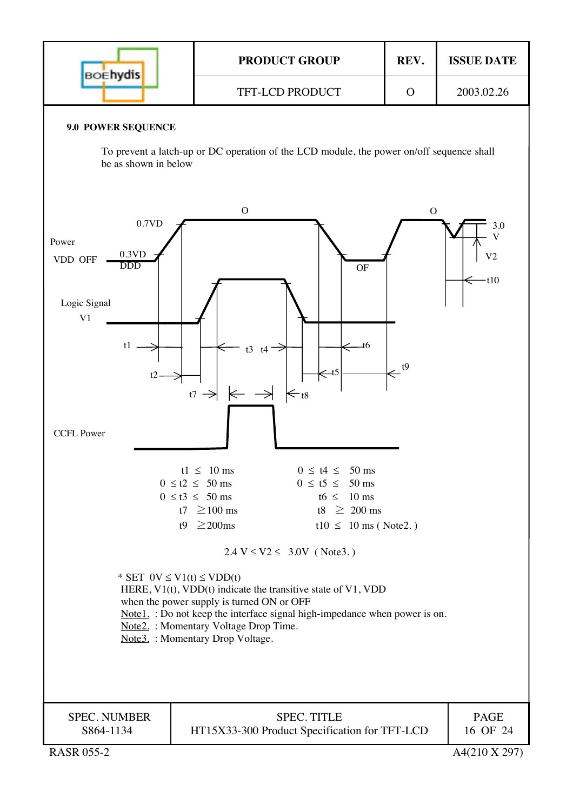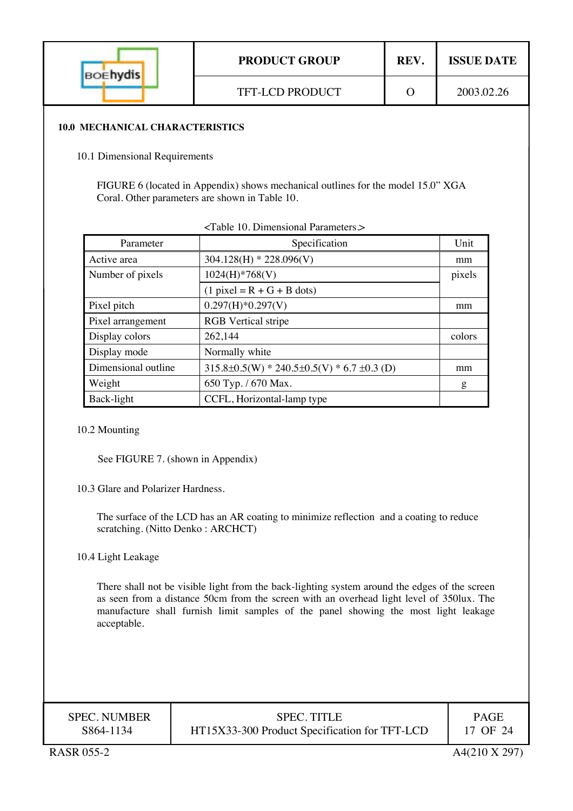| <b>BOEhydis</b> | <b>PRODUCT GROUP</b>   | REV. | <b>ISSUE DATE</b> |
|-----------------|------------------------|------|-------------------|
|                 | <b>TFT-LCD PRODUCT</b> |      | 2003.02.26        |

#### **10.0 MECHANICAL CHARACTERISTICS**

10.1 Dimensional Requirements

FIGURE 6 (located in Appendix) shows mechanical outlines for the model 15.0" XGA Coral. Other parameters are shown in Table 10.

| Parameter           | Specification                                     | Unit   |
|---------------------|---------------------------------------------------|--------|
| Active area         | $304.128(H) * 228.096(V)$                         | mm     |
| Number of pixels    | $1024(H)*768(V)$                                  | pixels |
|                     | $(1$ pixel = R + G + B dots)                      |        |
| Pixel pitch         | $0.297(H)*0.297(V)$                               | mm     |
| Pixel arrangement   | <b>RGB</b> Vertical stripe                        |        |
| Display colors      | 262,144                                           | colors |
| Display mode        | Normally white                                    |        |
| Dimensional outline | $315.8\pm0.5(W) * 240.5\pm0.5(V) * 6.7 \pm0.3(D)$ | mm     |
| Weight              | 650 Typ. / 670 Max.                               | g      |
| Back-light          | CCFL, Horizontal-lamp type                        |        |

#### 10.2 Mounting

See FIGURE 7. (shown in Appendix)

10.3 Glare and Polarizer Hardness.

The surface of the LCD has an AR coating to minimize reflection and a coating to reduce scratching. (Nitto Denko : ARCHCT)

10.4 Light Leakage

There shall not be visible light from the back-lighting system around the edges of the screen as seen from a distance 50cm from the screen with an overhead light level of 350lux. The manufacture shall furnish limit samples of the panel showing the most light leakage acceptable.

| <b>SPEC. NUMBER</b> | <b>SPEC. TITLE</b>                            | PAGE     |
|---------------------|-----------------------------------------------|----------|
| S864-1134           | HT15X33-300 Product Specification for TFT-LCD | 17 OF 24 |
|                     |                                               |          |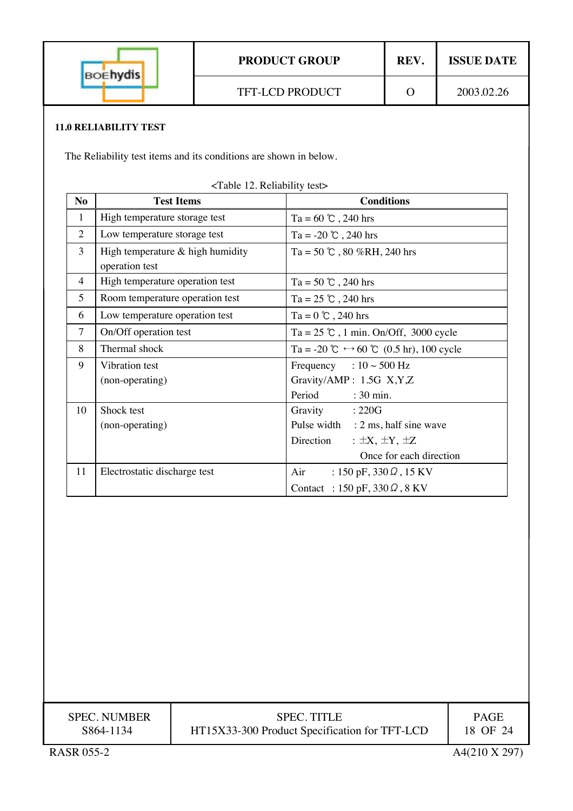| <b>BOEhydis</b>                                                   |                                                      |                                               | <b>PRODUCT GROUP</b>                                                      | REV.                   | <b>ISSUE DATE</b> |  |  |
|-------------------------------------------------------------------|------------------------------------------------------|-----------------------------------------------|---------------------------------------------------------------------------|------------------------|-------------------|--|--|
|                                                                   |                                                      | <b>TFT-LCD PRODUCT</b>                        |                                                                           | $\Omega$               | 2003.02.26        |  |  |
|                                                                   | <b>11.0 RELIABILITY TEST</b>                         |                                               |                                                                           |                        |                   |  |  |
| The Reliability test items and its conditions are shown in below. |                                                      |                                               |                                                                           |                        |                   |  |  |
|                                                                   |                                                      |                                               |                                                                           |                        |                   |  |  |
| N <sub>o</sub>                                                    | <b>Test Items</b>                                    | <table 12.="" reliability="" test=""></table> |                                                                           |                        |                   |  |  |
| $\mathbf{1}$                                                      |                                                      |                                               | <b>Conditions</b>                                                         |                        |                   |  |  |
| $\overline{2}$                                                    | High temperature storage test                        |                                               | Ta = $60^\circ$ C, 240 hrs<br>Ta = -20 $\degree$ C, 240 hrs               |                        |                   |  |  |
| $\overline{3}$                                                    | Low temperature storage test                         |                                               | Ta = 50 $\degree$ , 80 %RH, 240 hrs                                       |                        |                   |  |  |
|                                                                   | High temperature $&$ high humidity<br>operation test |                                               |                                                                           |                        |                   |  |  |
| $\overline{4}$                                                    | High temperature operation test                      |                                               | Ta = 50 $\degree$ , 240 hrs                                               |                        |                   |  |  |
| 5                                                                 | Room temperature operation test                      |                                               | Ta = $25$ °C, 240 hrs                                                     |                        |                   |  |  |
| 6                                                                 | Low temperature operation test                       |                                               | Ta = $0^\circ$ C, 240 hrs                                                 |                        |                   |  |  |
| $\overline{7}$                                                    | On/Off operation test                                |                                               | Ta = $25$ °C, 1 min. On/Off, 3000 cycle                                   |                        |                   |  |  |
| 8                                                                 | Thermal shock                                        |                                               | Ta = -20 $\mathcal{C} \leftrightarrow 60 \mathcal{C}$ (0.5 hr), 100 cycle |                        |                   |  |  |
| 9                                                                 | Vibration test                                       |                                               | Frequency : $10 \sim 500$ Hz                                              |                        |                   |  |  |
|                                                                   | (non-operating)                                      |                                               | Gravity/AMP: 1.5G X,Y,Z                                                   |                        |                   |  |  |
|                                                                   |                                                      |                                               | Period<br>$: 30$ min.                                                     |                        |                   |  |  |
| 10                                                                | Shock test                                           |                                               | Gravity<br>:220G                                                          |                        |                   |  |  |
|                                                                   | (non-operating)                                      |                                               | Pulse width                                                               | : 2 ms, half sine wave |                   |  |  |
|                                                                   |                                                      |                                               | Direction<br>: $\pm X$ , $\pm Y$ , $\pm Z$                                |                        |                   |  |  |
|                                                                   |                                                      |                                               | Once for each direction                                                   |                        |                   |  |  |

| <b>SPEC. NUMBER</b> | <b>SPEC. TITLE</b>                            | <b>PAGE</b>   |
|---------------------|-----------------------------------------------|---------------|
| S864-1134           | HT15X33-300 Product Specification for TFT-LCD | 18 OF 24      |
| <b>RASR 055-2</b>   |                                               | A4(210 X 297) |

11 Electrostatic discharge test Air : 150 pF, 330 Ω, 15 KV

Contact : 150 pF, 330Ω, 8 KV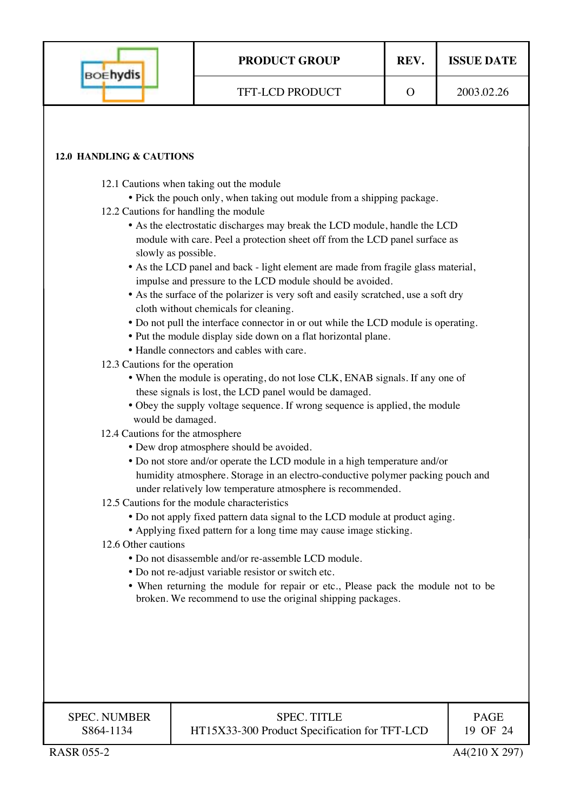| <b>BOEhydis</b>                                                                                                                                                                                                                                                                                                                                                                                                                                                                                                                                                                                                                                                                                                                                                                                                                                                                                                                                                                                                                                                                                                                                                                                                                                                                                                                                                                                                                                                                                                                                                                                                                                                                                                                                                                                                                                                                                                                                                   | <b>PRODUCT GROUP</b>                                                | REV.     | <b>ISSUE DATE</b>       |  |  |  |  |
|-------------------------------------------------------------------------------------------------------------------------------------------------------------------------------------------------------------------------------------------------------------------------------------------------------------------------------------------------------------------------------------------------------------------------------------------------------------------------------------------------------------------------------------------------------------------------------------------------------------------------------------------------------------------------------------------------------------------------------------------------------------------------------------------------------------------------------------------------------------------------------------------------------------------------------------------------------------------------------------------------------------------------------------------------------------------------------------------------------------------------------------------------------------------------------------------------------------------------------------------------------------------------------------------------------------------------------------------------------------------------------------------------------------------------------------------------------------------------------------------------------------------------------------------------------------------------------------------------------------------------------------------------------------------------------------------------------------------------------------------------------------------------------------------------------------------------------------------------------------------------------------------------------------------------------------------------------------------|---------------------------------------------------------------------|----------|-------------------------|--|--|--|--|
|                                                                                                                                                                                                                                                                                                                                                                                                                                                                                                                                                                                                                                                                                                                                                                                                                                                                                                                                                                                                                                                                                                                                                                                                                                                                                                                                                                                                                                                                                                                                                                                                                                                                                                                                                                                                                                                                                                                                                                   | TFT-LCD PRODUCT                                                     | $\Omega$ | 2003.02.26              |  |  |  |  |
| 12.0 HANDLING & CAUTIONS<br>12.1 Cautions when taking out the module<br>• Pick the pouch only, when taking out module from a shipping package.<br>12.2 Cautions for handling the module<br>• As the electrostatic discharges may break the LCD module, handle the LCD<br>module with care. Peel a protection sheet off from the LCD panel surface as<br>slowly as possible.<br>• As the LCD panel and back - light element are made from fragile glass material,<br>impulse and pressure to the LCD module should be avoided.<br>• As the surface of the polarizer is very soft and easily scratched, use a soft dry<br>cloth without chemicals for cleaning.<br>• Do not pull the interface connector in or out while the LCD module is operating.<br>• Put the module display side down on a flat horizontal plane.<br>• Handle connectors and cables with care.<br>12.3 Cautions for the operation<br>• When the module is operating, do not lose CLK, ENAB signals. If any one of<br>these signals is lost, the LCD panel would be damaged.<br>• Obey the supply voltage sequence. If wrong sequence is applied, the module<br>would be damaged.<br>12.4 Cautions for the atmosphere<br>• Dew drop atmosphere should be avoided.<br>• Do not store and/or operate the LCD module in a high temperature and/or<br>humidity atmosphere. Storage in an electro-conductive polymer packing pouch and<br>under relatively low temperature atmosphere is recommended.<br>12.5 Cautions for the module characteristics<br>• Do not apply fixed pattern data signal to the LCD module at product aging.<br>• Applying fixed pattern for a long time may cause image sticking.<br>12.6 Other cautions<br>• Do not disassemble and/or re-assemble LCD module.<br>• Do not re-adjust variable resistor or switch etc.<br>• When returning the module for repair or etc., Please pack the module not to be<br>broken. We recommend to use the original shipping packages. |                                                                     |          |                         |  |  |  |  |
| <b>SPEC. NUMBER</b><br>S864-1134                                                                                                                                                                                                                                                                                                                                                                                                                                                                                                                                                                                                                                                                                                                                                                                                                                                                                                                                                                                                                                                                                                                                                                                                                                                                                                                                                                                                                                                                                                                                                                                                                                                                                                                                                                                                                                                                                                                                  | <b>SPEC. TITLE</b><br>HT15X33-300 Product Specification for TFT-LCD |          | <b>PAGE</b><br>19 OF 24 |  |  |  |  |
| <b>RASR 055-2</b>                                                                                                                                                                                                                                                                                                                                                                                                                                                                                                                                                                                                                                                                                                                                                                                                                                                                                                                                                                                                                                                                                                                                                                                                                                                                                                                                                                                                                                                                                                                                                                                                                                                                                                                                                                                                                                                                                                                                                 | A4(210 X 297)                                                       |          |                         |  |  |  |  |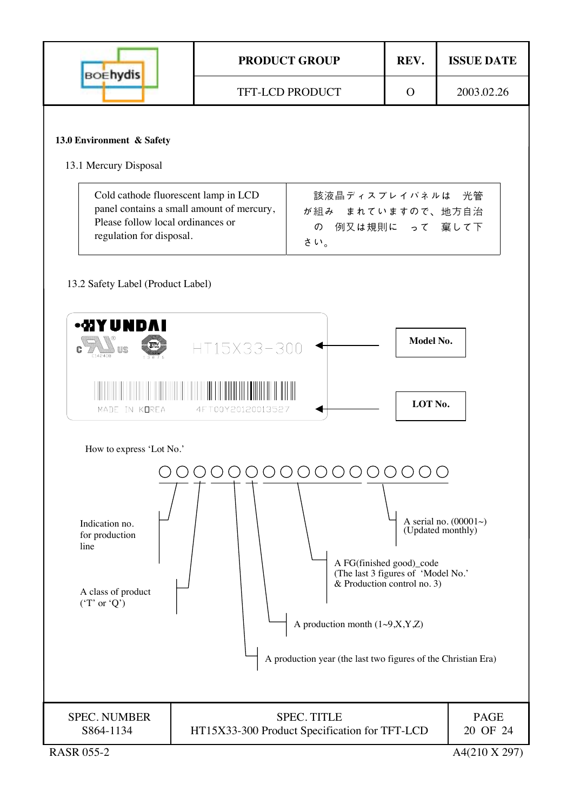| <b>BOEhydis</b>                                                                                                                                                                                                                                                                                                                                                                    |  | <b>PRODUCT GROUP</b>                                                |  | <b>ISSUE DATE</b>                 |  |  |  |
|------------------------------------------------------------------------------------------------------------------------------------------------------------------------------------------------------------------------------------------------------------------------------------------------------------------------------------------------------------------------------------|--|---------------------------------------------------------------------|--|-----------------------------------|--|--|--|
|                                                                                                                                                                                                                                                                                                                                                                                    |  | <b>TFT-LCD PRODUCT</b>                                              |  | 2003.02.26                        |  |  |  |
| 13.0 Environment & Safety<br>13.1 Mercury Disposal                                                                                                                                                                                                                                                                                                                                 |  |                                                                     |  |                                   |  |  |  |
| Cold cathode fluorescent lamp in LCD<br>panel contains a small amount of mercury,<br>Please follow local ordinances or<br>regulation for disposal.                                                                                                                                                                                                                                 |  | 該液晶ディスプレイパネルは 光管<br>が組み まれていますので、地方自治<br>の 例又は規則に って 棄して下<br>さい。    |  |                                   |  |  |  |
| 13.2 Safety Label (Product Label)                                                                                                                                                                                                                                                                                                                                                  |  |                                                                     |  |                                   |  |  |  |
| <b>-WYUNDAI</b><br>Model No.<br>$\mathbf{c}$ and $\mathbf{u}$<br>HT15X33-300<br>LOT No.<br>MADE IN KOREA<br>4FT00Y20120013527                                                                                                                                                                                                                                                      |  |                                                                     |  |                                   |  |  |  |
| How to express 'Lot No.'<br>00000000<br>A serial no. $(00001\sim)$<br>Indication no.<br>(Updated monthly)<br>for production<br>line<br>A FG(finished good)_code<br>(The last 3 figures of 'Model No.'<br>& Production control no. 3)<br>A class of product<br>('T' or 'Q')<br>A production month $(1~9, X, Y, Z)$<br>A production year (the last two figures of the Christian Era) |  |                                                                     |  |                                   |  |  |  |
| <b>SPEC. NUMBER</b><br>S864-1134<br><b>RASR 055-2</b>                                                                                                                                                                                                                                                                                                                              |  | <b>SPEC. TITLE</b><br>HT15X33-300 Product Specification for TFT-LCD |  | PAGE<br>20 OF 24<br>A4(210 X 297) |  |  |  |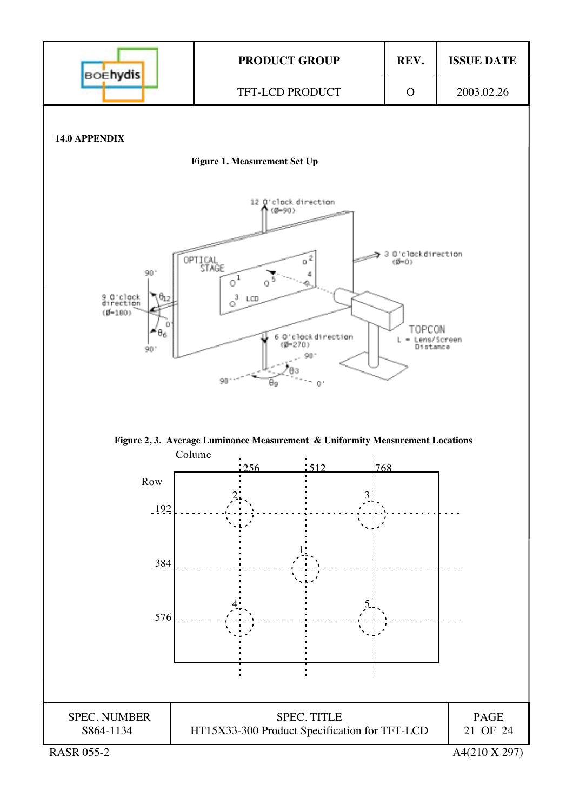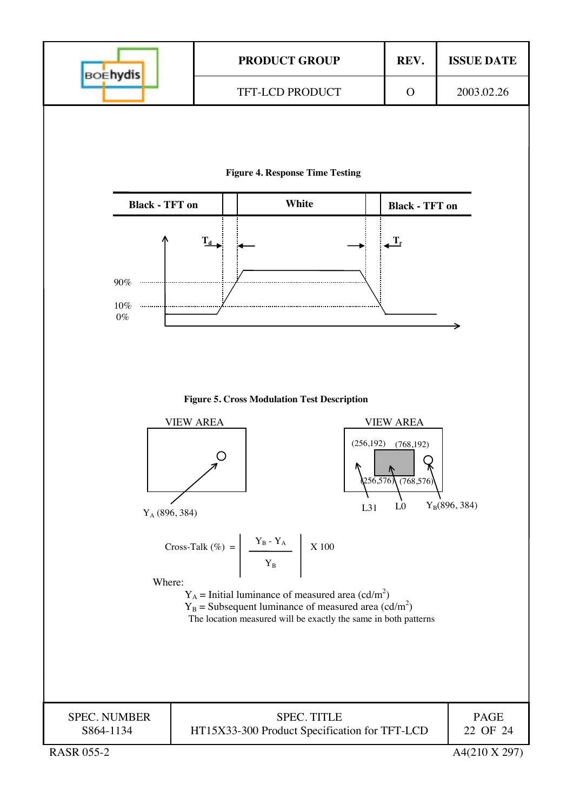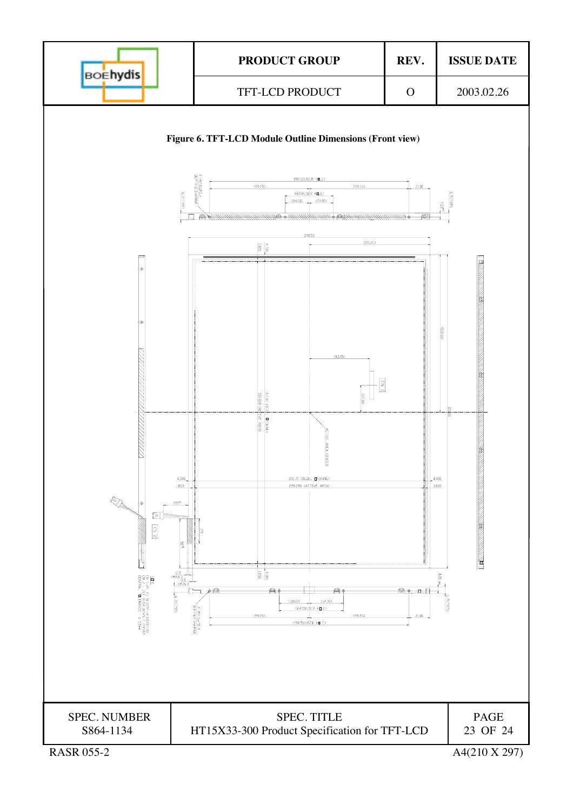